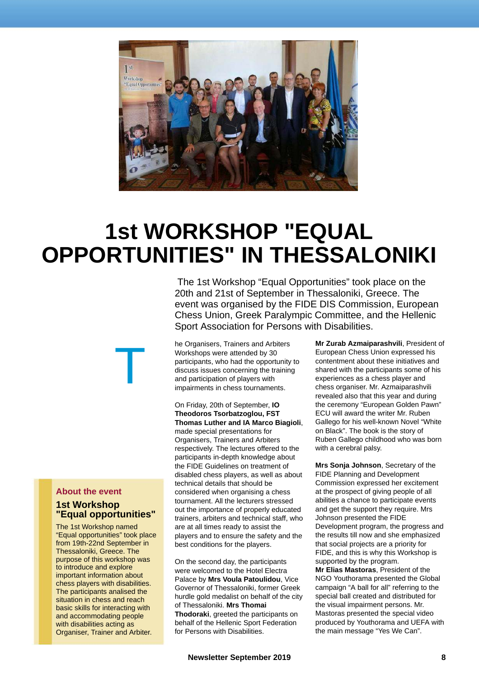

## **1st WORKSHOP "EQUAL OPPORTUNITIES" IN THESSALONIKI**

The 1st Workshop "Equal Opportunities" took place on the 20th and 21st of September in Thessaloniki, Greece. The event was organised by the FIDE DIS Commission, European Chess Union, Greek Paralympic Committee, and the Hellenic Sport Association for Persons with Disabilities.

he Organisers, Trainers and Arbiters Workshops were attended by 30 participants, who had the opportunity to discuss issues concerning the training and participation of players with impairments in chess tournaments.

On Friday, 20th of September, **IO Theodoros Tsorbatzoglou, FST Thomas Luther and IA Marco Biagioli**, made special presentations for Organisers, Trainers and Arbiters respectively. The lectures offered to the participants in-depth knowledge about the FIDE Guidelines on treatment of disabled chess players, as well as about technical details that should be considered when organising a chess tournament. All the lecturers stressed out the importance of properly educated trainers, arbiters and technical staff, who are at all times ready to assist the players and to ensure the safety and the best conditions for the players.

On the second day, the participants were welcomed to the Hotel Electra Palace by **Mrs Voula Patoulidou**, Vice Governor of Thessaloniki, former Greek hurdle gold medalist on behalf of the city of Thessaloniki. **Mrs Thomai Thodoraki**, greeted the participants on behalf of the Hellenic Sport Federation for Persons with Disabilities.

**Mr Zurab Azmaiparashvili**, President of European Chess Union expressed his contentment about these initiatives and shared with the participants some of his experiences as a chess player and chess organiser. Mr. Azmaiparashvili revealed also that this year and during the ceremony "European Golden Pawn" ECU will award the writer Mr. Ruben Gallego for his well-known Novel "White on Black". The book is the story of Ruben Gallego childhood who was born with a cerebral palsy.

**Mrs Sonja Johnson**, Secretary of the FIDE Planning and Development Commission expressed her excitement at the prospect of giving people of all abilities a chance to participate events and get the support they require. Mrs Johnson presented the FIDE Development program, the progress and the results till now and she emphasized that social projects are a priority for FIDE, and this is why this Workshop is supported by the program.

**Mr Elias Mastoras**, President of the NGO Youthorama presented the Global campaign "A ball for all" referring to the special ball created and distributed for the visual impairment persons. Mr. Mastoras presented the special video produced by Youthorama and UEFA with the main message "Yes We Can".

## **About the event**

## **1st Workshop "Equal opportunities"**

T

The 1st Workshop named "Equal opportunities" took place from 19th-22nd September in Thessaloniki, Greece. The purpose of this workshop was to introduce and explore important information about chess players with disabilities. The participants analised the situation in chess and reach basic skills for interacting with and accommodating people with disabilities acting as Organiser, Trainer and Arbiter.